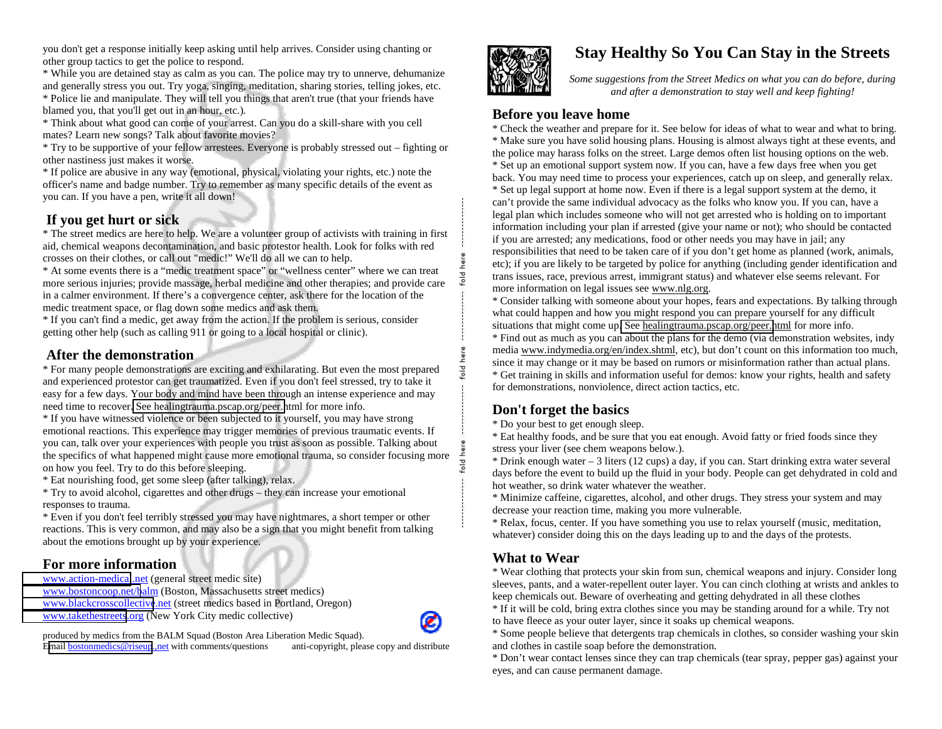you don't get a response initially keep asking until help arrives. Consider using chanting or other group tactics to get the police to respond.

\* While you are detained stay as calm as you can. The police may try to unnerve, dehumanize and generally stress you out. Try yoga, singing, meditation, sharing stories, telling jokes, etc. \* Police lie and manipulate. They will tell you things that aren't true (that your friends have

blamed you, that you'll get out in an hour, etc.).

\* Think about what good can come of your arrest. Can you do a skill-share with you cell mates? Learn new songs? Talk about favorite movies?

\* Try to be supportive of your fellow arrestees. Everyone is probably stressed out – fighting or other nastiness just makes it worse.

\* If police are abusive in any way (emotional, physical, violating your rights, etc.) note the officer's name and badge number. Try to remember as many specific details of the event as you can. If you have a pen, write it all down!

# **If you get hurt or sick**

\* The street medics are here to help. We are a volunteer group of activists with training in first aid, chemical weapons decontamination, and basic protestor health. Look for folks with red crosses on their clothes, or call out "medic!" We'll do all we can to help.

\* At some events there is a "medic treatment space" or "wellness center" where we can treat more serious injuries; provide massage, herbal medicine and other therapies; and provide care in a calmer environment. If there's a convergence center, ask there for the location of the medic treatment space, or flag down some medics and ask them.

\* If you can't find a medic, get away from the action. If the problem is serious, consider getting other help (such as calling 911 or going to a local hospital or clinic).

### **After the demonstration**

\* For many people demonstrations are exciting and exhilarating. But even the most prepared and experienced protestor can get traumatized. Even if you don't feel stressed, try to take it easy for a few days. Your body and mind have been through an intense experience and may need time to recover. [See healingtrauma.pscap.org/peer.h](http://healingtrauma.pscap.org/peer.html)tml for more info.

\* If you have witnessed violence or been subjected to it yourself, you may have strong emotional reactions. This experience may trigger memories of previous traumatic events. If you can, talk over your experiences with people you trust as soon as possible. Talking about the specifics of what happened might cause more emotional trauma, so consider focusing more on how you feel. Try to do this before sleeping.

\* Eat nourishing food, get some sleep (after talking), relax.

\* Try to avoid alcohol, cigarettes and other drugs – they can increase your emotional responses to trauma.

\* Even if you don't feel terribly stressed you may have nightmares, a short temper or other reactions. This is very common, and may also be a sign that you might benefit from talking about the emotions brought up by your experience.

#### **For more information**

[www.action-medical](http://www.action-medical.net/).net (general street medic site) [www.bostoncoop.net/b](http://www.bostoncoop.net/balm)alm (Boston, Massachusetts street medics) [www.blackcrosscollective](http://www.blackcrosscollective.net/).net (street medics based in Portland, Oregon) [www.takethestreets](http://www.takethestreets.org/).org (New York City medic collective)

produced by medics from the BALM Squad (Boston Area Liberation Medic Squad).

E[mail bostonmedics@riseup](mailto:bostonmedics@riseup.,net).,net with comments/questions anti-copyright, please copy and distribute



# **Stay Healthy So You Can Stay in the Streets**

*Some suggestions from the Street Medics on what you can do before, during and after a demonstration to stay well and keep fighting!* 

#### **Before you leave home**

\* Check the weather and prepare for it. See below for ideas of what to wear and what to bring. \* Make sure you have solid housing plans. Housing is almost always tight at these events, and the police may harass folks on the street. Large demos often list housing options on the web. \* Set up an emotional support system now. If you can, have a few days free when you get back. You may need time to process your experiences, catch up on sleep, and generally relax. \* Set up legal support at home now. Even if there is a legal support system at the demo, it can't provide the same individual advocacy as the folks who know you. If you can, have a legal plan which includes someone who will not get arrested who is holding on to important information including your plan if arrested (give your name or not); who should be contacted if you are arrested; any medications, food or other needs you may have in jail; any responsibilities that need to be taken care of if you don't get home as planned (work, animals, etc); if you are likely to be targeted by police for anything (including gender identification and trans issues, race, previous arrest, immigrant status) and whatever else seems relevant. For more information on legal issues see www.nlg.org.

\* Consider talking with someone about your hopes, fears and expectations. By talking through what could happen and how you might respond you can prepare yourself for any difficult situations that might come up[. See healingtrauma.pscap.org/peer.h](http://healingtrauma.pscap.org/peer.html)tml for more info.

\* Find out as much as you can about the plans for the demo (via demonstration websites, indy media www.indymedia.org/en/index.shtml, etc), but don't count on this information too much, since it may change or it may be based on rumors or misinformation rather than actual plans. \* Get training in skills and information useful for demos: know your rights, health and safety for demonstrations, nonviolence, direct action tactics, etc.

# **Don't forget the basics**

old here

\* Do your best to get enough sleep.

\* Eat healthy foods, and be sure that you eat enough. Avoid fatty or fried foods since they stress your liver (see chem weapons below.).

 $*$  Drink enough water  $-3$  liters (12 cups) a day, if you can. Start drinking extra water several days before the event to build up the fluid in your body. People can get dehydrated in cold and hot weather, so drink water whatever the weather.

\* Minimize caffeine, cigarettes, alcohol, and other drugs. They stress your system and may decrease your reaction time, making you more vulnerable.

\* Relax, focus, center. If you have something you use to relax yourself (music, meditation, whatever) consider doing this on the days leading up to and the days of the protests.

## **What to Wear**

\* Wear clothing that protects your skin from sun, chemical weapons and injury. Consider long sleeves, pants, and a water-repellent outer layer. You can cinch clothing at wrists and ankles to keep chemicals out. Beware of overheating and getting dehydrated in all these clothes

\* If it will be cold, bring extra clothes since you may be standing around for a while. Try not to have fleece as your outer layer, since it soaks up chemical weapons.

\* Some people believe that detergents trap chemicals in clothes, so consider washing your skin and clothes in castile soap before the demonstration.

\* Don't wear contact lenses since they can trap chemicals (tear spray, pepper gas) against your eyes, and can cause permanent damage.